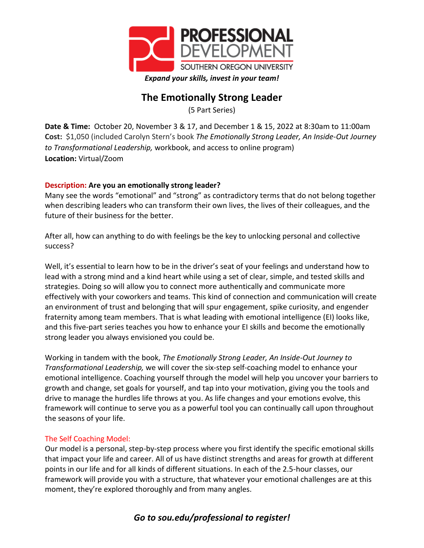

# **The Emotionally Strong Leader**

(5 Part Series)

**Date & Time:** October 20, November 3 & 17, and December 1 & 15, 2022 at 8:30am to 11:00am **Cost:** \$1,050 (included Carolyn Stern's book *The Emotionally Strong Leader, An Inside-Out Journey to Transformational Leadership,* workbook, and access to online program) **Location:** Virtual/Zoom

## **Description: Are you an emotionally strong leader?**

Many see the words "emotional" and "strong" as contradictory terms that do not belong together when describing leaders who can transform their own lives, the lives of their colleagues, and the future of their business for the better.

After all, how can anything to do with feelings be the key to unlocking personal and collective success?

Well, it's essential to learn how to be in the driver's seat of your feelings and understand how to lead with a strong mind and a kind heart while using a set of clear, simple, and tested skills and strategies. Doing so will allow you to connect more authentically and communicate more effectively with your coworkers and teams. This kind of connection and communication will create an environment of trust and belonging that will spur engagement, spike curiosity, and engender fraternity among team members. That is what leading with emotional intelligence (EI) looks like, and this five-part series teaches you how to enhance your EI skills and become the emotionally strong leader you always envisioned you could be.

Working in tandem with the book, *The Emotionally Strong Leader, An Inside-Out Journey to Transformational Leadership,* we will cover the six-step self-coaching model to enhance your emotional intelligence. Coaching yourself through the model will help you uncover your barriers to growth and change, set goals for yourself, and tap into your motivation, giving you the tools and drive to manage the hurdles life throws at you. As life changes and your emotions evolve, this framework will continue to serve you as a powerful tool you can continually call upon throughout the seasons of your life.

### The Self Coaching Model:

Our model is a personal, step-by-step process where you first identify the specific emotional skills that impact your life and career. All of us have distinct strengths and areas for growth at different points in our life and for all kinds of different situations. In each of the 2.5-hour classes, our framework will provide you with a structure, that whatever your emotional challenges are at this moment, they're explored thoroughly and from many angles.

# *Go to sou.edu/professional to register!*